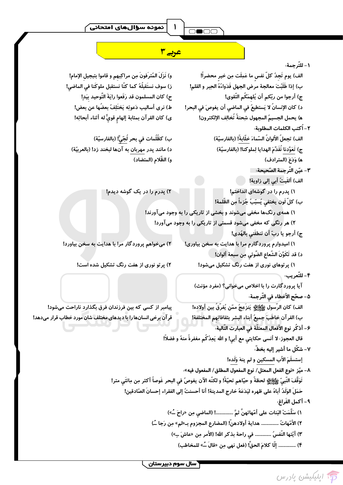### 

## $\overline{\bigcirc\bullet\bigcirc\bigcirc}$

# است <mark>عربے ۳</mark> میں ا

 $\overline{\phantom{a}}$ 

|                                                                                                      | ١- للتّرجمة،                                                    |
|------------------------------------------------------------------------------------------------------|-----------------------------------------------------------------|
| و) نَزَلَ المُترَفونَ مِن مراكِبهم و قاموا بتبجيل الإمام!                                            | الف) يوم تَجدُ كلّ نفسٍ ما عَمِلَت مِن خيرِ محضراً!             |
| ز) سوف نستَقبلُهُ كما كنَّا نستقبل ملوكَنا في الماضي!                                                | ب) إذا طَلَبْتَ معالجة مرض الجهل فَدَواءُهُ الحِبر و القلم!     |
| ح) كان المسلمون قد رَفَعوا رايَةَ التّوحيد بيَدِ!                                                    | ج) أرجوا من ربّكم أن يُلهمَكُم التّقوى!                         |
| ط) نرى أساليب دَعوتِه يَختَلِفُ بعضُها عن بعض!                                                       | د) كان الإنسانُ لا يَستطيعُ في الماضي أن يغوصَ في البحر!        |
| ى) كان القرآن بمثابة إلهام قويٍّ له أثناء أبحاثِه!                                                   | ﻫ) يحمل الجسيمُ المجهول شِحنةً تَخالِف الإلكترون!               |
|                                                                                                      | ٢ – اُكتب الكلمات المطلوبة:                                     |
| ب) كظُلُمات في بحر لُجّيٍّّ! (بالفارسيّة)                                                            | الف) تجعلُ الألوانُ السّماءَ خلّابةً! (بالفارسيّة)              |
| د) مانند پدر مهربان به آنها لبخند زد! (بالعربيّة)                                                    | ج) تَعَوَّدنا نُقَدِّمَ الهدايا لِملوكنا! (بالفارسيّة)          |
| و) الظّلام (المتضاد)                                                                                 | ه) وَدَعَ (المترادف)                                            |
|                                                                                                      | ٣- عيّن التّرجمة الصّحيحة:                                      |
|                                                                                                      | الف) أَلقَيتُ أَبي إلى زاوية!                                   |
| ۲) پدرم را در یک گوشه دیدم!                                                                          | ۱) پدرم را در گوشهای انداختم!                                   |
|                                                                                                      | ب) كلّ لَون يختفي يُسبّبُ جُزءاً مِن الظّلمة!                   |
|                                                                                                      | ۱) همهی رنگ ها مخفی میشوند و بخشی از تاریکی را به وجود میآورند! |
|                                                                                                      | ۲) هر رنگی که مخفی میشود قسمتی از تاریکی را به وجود میآورد!     |
|                                                                                                      | ج) أرجو يا ربّ أن تنطقَني بالهُدى!                              |
| ۲) میخواهم پروردگار مرا با هدایت به سخن بیاورد!                                                      | ۱) امیدوارم پروردگارم مرا با هدایت به سخن بیاوری!               |
|                                                                                                      | د) قد تَكَوَّنَ الشَّعاع الضَّوئي مِن سبعة ألوان!               |
| ۲) پر تو نوری از هفت رنگ تشکیل شده است!                                                              | ۱) پرتوهای نوری از هفت رنگ تشکیل میشود!                         |
|                                                                                                      | ۴- للتّعريب،                                                    |
|                                                                                                      | آیا پرورد گارت را با اخلاص میخوانی؟ (مفرد مؤنث)                 |
|                                                                                                      | ۵- صحّح الأخطاء في التّرجمة:                                    |
| پیامبر از کسی که بین فرزندان فرق بگذارد ناراحت میشود!                                                | الف) كان الرَّسول ﷺ يَنزَعِجُ ممّن يُفرّقَ بين أولاده!          |
| قر آن برخی انسانها را با دیدهای مختلف شان مورد خطاب قرار میدهد!                                      | ب) القر آن خاطَب جميعُ أبناء البشر بثقافاتِهم المختلفة!         |
|                                                                                                      | ۶– أَذكُر نوع الأفعال المعتلَّة في العبارت التَّالية،           |
| قال العجوز: لا أنسى حكايتي مع أبي! و الله يَعِدُكُم مغفرةً منهُ و فضلاً!                             |                                                                 |
|                                                                                                      | ٧- شكّل ما أشير إليه بخطَّ،                                     |
|                                                                                                      | إستسلَمَ الأب المسكين و لم ينهَ وَلَده!                         |
| ٨– ميّز «نوع الفعل المعتل/ نوع المفعول المطلق/ المفعول فيه»،                                         |                                                                 |
| تَوَقَّفَ النَّبيّ ﷺ لحظةً و حيّاهم تحيّةً! و لكنّه الآن يغوصُ في البحر غَوصاً أكثر مِن مِائتَي متر! |                                                                 |
| حَمَلَ الوَلَدُ أباهُ على ظهره ليَدَعَهُ خارج المدينة! أنا أحسنتُ إلى الفقراء إحسانَ الصّادقين!      |                                                                 |
| ٩- أكمل الفَراغ،                                                                                     |                                                                 |
| ١) سَلَّمَتْ البَنات على أمّهاتهنَّ ثمَّ ! (الماضي مِن «راحَ ــُ»)                                   |                                                                 |
| ٢) الأمّهاتُ  هداية أولادهنّ! (المضارع المجزوم بـ«لم» مِن رَجا ـُ)                                   |                                                                 |
| ٣) أيّتها النّفسُ  فى راحة بذكر الله! (الأمر مِن «عاشَ ـِ»)                                          |                                                                 |
| ۴)  إلّا كلامَ الحقّ! (فعل نهى مِن «قالَ ـُـ» للمخاطب)                                               |                                                                 |



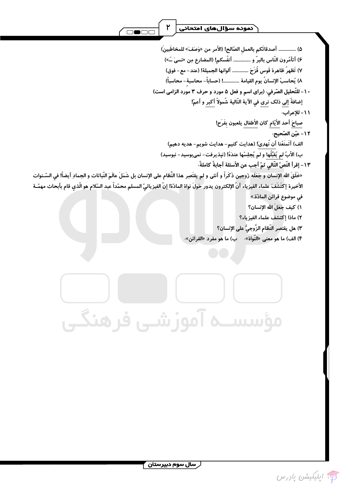ر سال سوم دبیرستان ۲<br>ا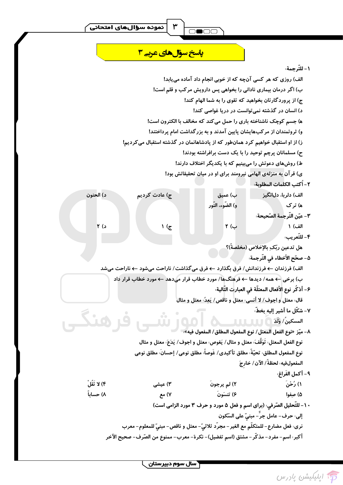## <mark>پاسخ سؤال های عربے 3</mark>

#### ١ – للتّرجمة،

الف) روزی که هر کسی آنچه که از خوبی انجام داد آماده می یابد! ب) اگر درمان بیماری نادانی را بخواهی پس دارویش مرکب و قلم است! ج) از پروردگارتان بخواهید که تقوی را به شما الهام کند! د) انسان در گذشته نمی توانست در دریا غواصی کند! ه) جسم کوچک ناشناخته باری را حمل میکند که مخالف با الکترون است! و) ثروتمندان از مرکبهایشان پایین آمدند و به بزرگداشت امام پرداختند! ز) از او استقبال خواهیم کرد همانطور که از پادشاهانمان در گذشته استقبال میکردیم! ح) مسلمانان پرچم توحید را با یک دست برافراشته بودند! ط) روشهای دعوتش را میبینیم که با یکدیگر اختلاف دارند! ی) قرآن به منزلهی الهامی نیرومند برای او در میان تحقیقاتش بود! ٢ – ٱكتب الكلمات المطلوبة، د) الحنون ج) عادت کردیم ب) عميق الف) دلربا، دلانگیز و) الضَّوء، النَّور ھ) تر ک ٣- عيّن التّرجمة الصّحيحة: ج) ( ب ۲ الف) ۱ د) ۲ ۴- للتّعريب، هل تدعين ربّك ِبالإخلاص (مخلصةً)؟ ۵- صحّح الأخطاء في التّرجمة: الف) فرزندان ← فرزندانش/ فرق بگذارد ← فرق میگذاشت/ ناراحت میشود ← ناراحت میشد ب) برخی ← همه/ دیدها ← فرهنگ۵ا/ مورد خطاب قرار میدهد ← مورد خطاب قرار داد ۶– أذكُر نوع الأفعال المعتلّة في العبارت التّالية، قال: معتل و اجوف/ لا أنسى: معتل و ناقص/ يَعِدُ: معتل و مثال ٧- شكَّل ما أشير إليه بخطَّ، ٨– ميّز «نوع الفعل المعتل/ نوع المفعول المطلق/ المفعول فيه». " نوع الفعل المعتل: تَوَقَّفَ: معتل و مثال/ يَغوص: معتل و اجوف/ يَدَعَ: معتل و مثال نوع المفعول المطلق، تحيّةً، مطلق تأكيدي/ غَوصاً، مطلق نوعي/ إحسانَ، مطلق نوعي المفعولفيه، لحظةً/ الآن/ خارجَ ٩- أكمل الفَراغ، ۴) لا تَقُلْ ۳) عیشی ۱) رُحْنَ ۲) لم يرجونَ ۸) حساباً ۷) مع ۶) تنسَونَ ۵) صفوا ۱۰- للتّحليل الصّرفي، (براي اسم و فعل ۵ مورد و حرف ۳ مورد الزامي است) إلى: حرف- عامل جرَّ - مبنىّ على السّكون نري: فعل مضارع – للمتكلَّم مع الغير – مجرَّد ثلاثيّ – معتل و ناقص- مبنيّ للمعلوم – معرب أكبر : اسم- مفرد– مذكَّر – مشتق (اسم تفضيل) – نكرة– معرب– ممنوع من الصّرف– صحيح الآخر